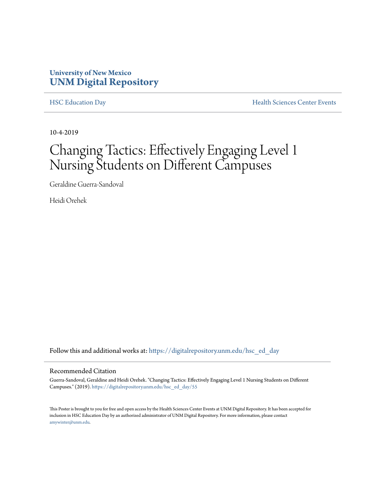#### **University of New Mexico [UNM Digital Repository](https://digitalrepository.unm.edu/?utm_source=digitalrepository.unm.edu%2Fhsc_ed_day%2F55&utm_medium=PDF&utm_campaign=PDFCoverPages)**

[HSC Education Day](https://digitalrepository.unm.edu/hsc_ed_day?utm_source=digitalrepository.unm.edu%2Fhsc_ed_day%2F55&utm_medium=PDF&utm_campaign=PDFCoverPages) **[Health Sciences Center Events](https://digitalrepository.unm.edu/hsc_events?utm_source=digitalrepository.unm.edu%2Fhsc_ed_day%2F55&utm_medium=PDF&utm_campaign=PDFCoverPages)** 

10-4-2019

# Changing Tactics: Effectively Engaging Level 1 Nursing Students on Different Campuses

Geraldine Guerra-Sandoval

Heidi Orehek

Follow this and additional works at: [https://digitalrepository.unm.edu/hsc\\_ed\\_day](https://digitalrepository.unm.edu/hsc_ed_day?utm_source=digitalrepository.unm.edu%2Fhsc_ed_day%2F55&utm_medium=PDF&utm_campaign=PDFCoverPages)

#### Recommended Citation

Guerra-Sandoval, Geraldine and Heidi Orehek. "Changing Tactics: Effectively Engaging Level 1 Nursing Students on Different Campuses." (2019). [https://digitalrepository.unm.edu/hsc\\_ed\\_day/55](https://digitalrepository.unm.edu/hsc_ed_day/55?utm_source=digitalrepository.unm.edu%2Fhsc_ed_day%2F55&utm_medium=PDF&utm_campaign=PDFCoverPages)

This Poster is brought to you for free and open access by the Health Sciences Center Events at UNM Digital Repository. It has been accepted for inclusion in HSC Education Day by an authorized administrator of UNM Digital Repository. For more information, please contact [amywinter@unm.edu](mailto:amywinter@unm.edu).